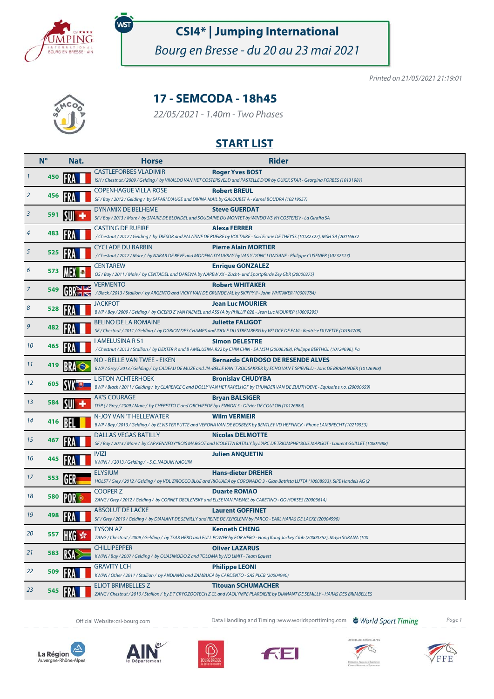

# .<br>WST

# **CSI4\* | Jumping International**

Bourg en Bresse - du 20 au 23 mai 2021

Printed on 21/05/2021 21:19:01



## **17 - SEMCODA - 18h45**

22/05/2021 - 1.40m - Two Phases

#### **START LIST**

|    | $N^{\circ}$ | Nat. | <b>Horse</b>                                                                                                                         | <b>Rider</b>                                                                                                                                                                      |
|----|-------------|------|--------------------------------------------------------------------------------------------------------------------------------------|-----------------------------------------------------------------------------------------------------------------------------------------------------------------------------------|
|    | 450         |      | <b>CASTLEFORBES VLADIMIR</b>                                                                                                         | <b>Roger Yves BOST</b><br>ISH / Chestnut / 2009 / Gelding / by VIVALDO VAN HET COSTERSVELD and PASTELLE D'OR by QUICK STAR - Georgina FORBES (10131981)                           |
| 2  | 456         |      | <b>COPENHAGUE VILLA ROSE</b><br>SF / Bay / 2012 / Gelding / by SAFARI D'AUGE and DIVINA MAIL by GALOUBET A - Kamel BOUDRA (10219557) | <b>Robert BREUL</b>                                                                                                                                                               |
| 3  | 591         |      | DYNAMIX DE BELHEME                                                                                                                   | <b>Steve GUERDAT</b><br>SF / Bay / 2013 / Mare / by SNAIKE DE BLONDEL and SOUDAINE DU MONTET by WINDOWS VH COSTERSV - La Giraffa SA                                               |
| 4  | 483         |      | <b>CASTING DE RUEIRE</b>                                                                                                             | <b>Alexa FERRER</b><br>/ Chestnut / 2012 / Gelding / by TRESOR and PALATINE DE RUEIRE by VOLTAIRE - Sarl Ecurie DE THEYSS (10182327), MSH SA (20016632                            |
| 5  | 525         |      | <b>CYCLADE DU BARBIN</b>                                                                                                             | <b>Pierre Alain MORTIER</b><br>/Chestnut / 2012 / Mare / by NABAB DE REVE and MODENA D'AUVRAY by VAS Y DONC LONGANE - Philippe CUSENIER (10232517)                                |
| 6  | 573         |      | <b>CENTAREW</b><br>OS / Bay / 2011 / Male / by CENTADEL and DAREWA by NAREW XX - Zucht- und Sportpferde Zey GbR (20000375)           | <b>Enrique GONZALEZ</b>                                                                                                                                                           |
| 7  | 549         |      | <b>VERMENTO</b><br>/Black / 2013 / Stallion / by ARGENTO and VICKY VAN DE GRUNDEVAL by SKIPPY II - John WHITAKER (10001784)          | <b>Robert WHITAKER</b>                                                                                                                                                            |
| 8  | 528         |      | <b>JACKPOT</b><br>BWP / Bay / 2009 / Gelding / by CICERO Z VAN PAEMEL and ASSYA by PHILLIP 028 - Jean Luc MOURIER (10009295)         | <b>Jean Luc MOURIER</b>                                                                                                                                                           |
| 9  | 482         |      | <b>BELINO DE LA ROMAINE</b>                                                                                                          | <b>Juliette FALIGOT</b><br>SF / Chestnut / 2011 / Gelding / by OGRION DES CHAMPS and IDOLE DU STREMBERG by VELOCE DE FAVI - Beatrice DUVETTE (10194708)                           |
| 10 | 465         |      | <b>LAMELUSINA R 51</b>                                                                                                               | <b>Simon DELESTRE</b><br>/ Chestnut / 2013 / Stallion / by DEXTER R and B AMELUSINA R22 by CHIN CHIN - SA MSH (20006388), Philippe BERTHOL (10124096), Pa                         |
| 11 | 419         |      | NO - BELLE VAN TWEE - EIKEN                                                                                                          | <b>Bernardo CARDOSO DE RESENDE ALVES</b><br>BWP / Grey / 2013 / Gelding / by CADEAU DE MUZE and JIA-BELLE VAN 'T ROOSAKKER by ECHO VAN T SPIEVELD - Joris DE BRABANDER (10126968) |
| 12 | 605         |      | <b>LISTON ACHTERHOEK</b>                                                                                                             | <b>Bronislav CHUDYBA</b><br>BWP / Black / 2011 / Gelding / by CLARENCE C and DOLLY VAN HET KAPELHOF by THUNDER VAN DE ZUUTHOEVE - Equisale s.r.o. (20000659)                      |
| 13 | 584         |      | <b>AK'S COURAGE</b><br>DSP (/Grey/2009/Mare/ by CHEPETTO C and ORCHIEEDE by LENNON 5 - Olivier DE COULON (10126984)                  | <b>Bryan BALSIGER</b>                                                                                                                                                             |
| 14 | 416         |      | N-JOY VAN 'T HELLEWATER                                                                                                              | <b>Wilm VERMEIR</b><br>BWP / Bay / 2013 / Gelding / by ELVIS TER PUTTE and VERONA VAN DE BOSBEEK by BENTLEY VD HEFFINCK - Rhune LAMBRECHT (10219933)                              |
| 15 | 467         |      | <b>DALLAS VEGAS BATILLY</b>                                                                                                          | <b>Nicolas DELMOTTE</b><br>SF / Bay / 2013 / Mare / by CAP KENNEDY*BOIS MARGOT and VIOLETTA BATILLY by L'ARC DE TRIOMPHE*BOIS MARGOT - Laurent GUILLET (10001988)                 |
| 16 | 445         |      | <b>IVIZI</b><br>KWPN / /2013 / Gelding / - S.C. NAQUIN NAQUIN                                                                        | <b>Julien ANQUETIN</b>                                                                                                                                                            |
| 17 | 553         |      | <b>ELYSIUM</b>                                                                                                                       | <b>Hans-dieter DREHER</b><br>HOLST / Grey / 2012 / Gelding / by VDL ZIROCCO BLUE and RIQUADA by CORONADO 3 - Gian Battista LUTTA (10008933), SIPE Handels AG (2                   |
| 18 | 580         |      | <b>COOPER Z</b>                                                                                                                      | <b>Duarte ROMAO</b><br>ZANG / Grey / 2012 / Gelding / by CORNET OBOLENSKY and ELISE VAN PAEMEL by CARETINO - GO HORSES (20003614)                                                 |
| 19 | 498         |      | <b>ABSOLUT DE LACKE</b>                                                                                                              | <b>Laurent GOFFINET</b><br>SF / Grey / 2010 / Gelding / by DIAMANT DE SEMILLY and REINE DE KERGLENN by PARCO - EARL HARAS DE LACKE (20004590)                                     |
| 20 | 557         |      | <b>TYSON AZ</b>                                                                                                                      | <b>Kenneth CHENG</b><br>ZANG / Chestnut / 2009 / Gelding / by TSAR HERO and FULL POWER by FOR HERO - Hong Kong Jockey Club (20000762), Maya SURANA (100                           |
| 21 | 583         |      | <b>CHILLIPEPPER</b><br>KWPN / Bay / 2007 / Gelding / by QUASIMODO Z and TOLOMA by NO LIMIT - Team Equest                             | <b>Oliver LAZARUS</b>                                                                                                                                                             |
| 22 | 509         |      | <b>GRAVITY LCH</b><br>KWPN / Other / 2011 / Stallion / by ANDIAMO and ZAMBUCA by CARDENTO - SAS PLCB (20004940)                      | <b>Philippe LEONI</b>                                                                                                                                                             |
| 23 | 545         |      | ELIOT BRIMBELLES Z                                                                                                                   | <b>Titouan SCHUMACHER</b><br>ZANG / Chestnut / 2010 / Stallion / by ETCRYOZOOTECH Z CL and KAOLYMPE PLARDIERE by DIAMANT DE SEMILLY - HARAS DES BRIMBELLES                        |



Official Website: csi-bourg.com **Data Handling and Timing :www.worldsporttiming.com The World Sport Timing** Page 1



**NELATIVES** 











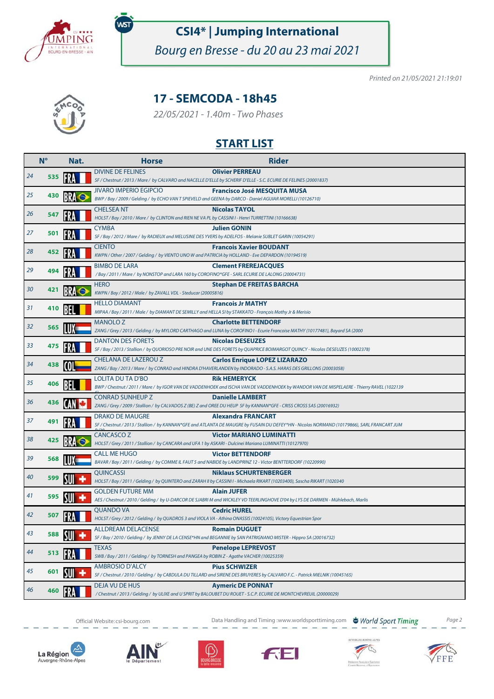

.<br>WST

## **CSI4\* | Jumping International**

Bourg en Bresse - du 20 au 23 mai 2021

Printed on 21/05/2021 21:19:01



### **17 - SEMCODA - 18h45**

22/05/2021 - 1.40m - Two Phases

#### **START LIST**

| $N^{\circ}$ | Nat. | <b>Horse</b>                                                                                                                               | <b>Rider</b>                                                                                                                                                             |
|-------------|------|--------------------------------------------------------------------------------------------------------------------------------------------|--------------------------------------------------------------------------------------------------------------------------------------------------------------------------|
| 535         |      | <b>DIVINE DE FELINES</b>                                                                                                                   | <b>Olivier PERREAU</b><br>SF / Chestnut / 2013 / Mare / by CALVARO and NACELLE D'ELLE by SCHERIF D'ELLE - S.C. ECURIE DE FELINES (20001837)                              |
| 430         |      | <b>JIVARO IMPERIO EGIPCIO</b><br>BWP / Bay / 2009 / Gelding / by ECHO VAN T SPIEVELD and GEENA by DARCO - Daniel AGUIAR MORELLI (10126710) | <b>Francisco José MESQUITA MUSA</b>                                                                                                                                      |
| 547         |      | <b>CHELSEA NT</b><br>HOLST / Bay / 2010 / Mare / by CLINTON and RIEN NE VA PL by CASSINI I - Henri TURRETTINI (10166638)                   | <b>Nicolas TAYOL</b>                                                                                                                                                     |
| 501         |      | <b>CYMBA</b><br>SF / Bay / 2012 / Mare / by RADIEUX and MELUSINE DES YVERS by ADELFOS - Melanie SUBLET GARIN (10054291)                    | <b>Julien GONIN</b>                                                                                                                                                      |
| 452         |      | <b>CIENTO</b><br>KWPN / Other / 2007 / Gelding / by VIENTO UNO W and PATRICIA by HOLLAND - Eve DEPARDON (10194519)                         | <b>Francois Xavier BOUDANT</b>                                                                                                                                           |
| 494         |      | <b>BIMBO DE LARA</b><br>/ Bay / 2011 / Mare / by NONSTOP and LARA 160 by COROFINO*GFE - SARL ECURIE DE LALONG (20004731)                   | <b>Clement FREREJACQUES</b>                                                                                                                                              |
| 421         |      | <b>HERO</b><br>KWPN / Bay / 2012 / Male / by ZAVALL VDL - Steducar (20005816)                                                              | <b>Stephan DE FREITAS BARCHA</b>                                                                                                                                         |
| 410         |      | <b>HELLO DIAMANT</b><br>MIPAA / Bay / 2011 / Male / by DIAMANT DE SEMILLY and HELLA SI by STAKKATO - François Mathy Jr & Merisio           | <b>Francois Jr MATHY</b>                                                                                                                                                 |
| 565         |      | <b>MANOLO Z</b>                                                                                                                            | <b>Charlotte BETTENDORF</b><br>ZANG / Grey / 2013 / Gelding / by MYLORD CARTHAGO and LUNA by COROFINO I - Ecurie Francoise MATHY (10177481), Bayard SA (2000             |
| 475         |      | <b>DANTON DES FORETS</b>                                                                                                                   | <b>Nicolas DESEUZES</b><br>SF / Bay / 2013 / Stallion / by QUORIOSO PRE NOIR and UNE DES FORETS by QUAPRICE BOIMARGOT QUINCY - Nicolas DESEUZES (10002378)               |
| 438         |      | CHELANA DE LAZEROU Z                                                                                                                       | <b>Carlos Enrique LOPEZ LIZARAZO</b><br>ZANG / Bay / 2013 / Mare / by CONRAD and HINDRA D'HAVERLANDEN by INDORADO - S.A.S. HARAS DES GRILLONS (20003058)                 |
| 406         |      | LOLITA DU TA D'BO                                                                                                                          | <b>RIK HEMERYCK</b><br>BWP / Chestnut / 2011 / Mare / by IGOR VAN DE VADDENHOEK and ISCHA VAN DE VADDENHOEK by WANDOR VAN DE MISPELAERE - Thierry RAVEL (1022139         |
| 436         |      | <b>CONRAD SUNHEUP Z</b>                                                                                                                    | <b>Danielle LAMBERT</b><br>ZANG / Grey / 2009 / Stallion / by CALVADOS Z (BE) Z and OREE DU HEUP SF by KANNAN*GFE - CRISS CROSS SAS (20016932)                           |
| 491         |      | <b>DRAKO DE MAUGRE</b>                                                                                                                     | <b>Alexandra FRANCART</b><br>SF / Chestnut / 2013 / Stallion / by KANNAN*GFE and ATLANTA DE MAUGRE by FUSAIN DU DEFEY*HN - Nicolas NORMAND (10179866), SARL FRANCART JUM |
| 425         |      | <b>CANCASCO Z</b><br>HOLST / Grey / 2011 / Stallion / by CANCARA and UFA 1 by ASKARI - Dulcinei Mariano LUMINATTI (10127970)               | <b>Victor MARIANO LUMINATTI</b>                                                                                                                                          |
| 568         |      | <b>CALL ME HUGO</b>                                                                                                                        | <b>Victor BETTENDORF</b><br>BAVAR / Bay / 2011 / Gelding / by COMME IL FAUT 5 and NABIDE by LANDPRINZ 12 - Victor BENTTERDORF (10220990)                                 |
| 599         |      | <b>QUINCASSI</b>                                                                                                                           | <b>Niklaus SCHURTENBERGER</b><br>HOLST/Bay/2011/Gelding/by QUINTERO and ZARAH II by CASSINI I - Michaela RIKART (10203400), Sascha RIKART (1020340                       |
| 595         |      | <b>GOLDEN FUTURE MM</b>                                                                                                                    | <b>Alain JUFER</b><br>AES / Chestnut / 2010 / Gelding / by U-DARCOR DE SJABRI M and WICKLEY VD TEERLINGHOVE D'04 by LYS DE DARMEN - Mühlebach, Marlis                    |
| 507         |      | <b>QUANDO VA</b><br>HOLST/Grey/2012/Gelding/by QUADROS 3 and VIOLA VA - Athina ONASSIS (10024105), Victory Equestrian Spor                 | <b>Cedric HUREL</b>                                                                                                                                                      |
| 588         |      | <b>ALLDREAM DELACENSE</b>                                                                                                                  | <b>Romain DUGUET</b><br>SF / Bay / 2010 / Gelding / by JENNY DE LA CENSE*HN and BEGANNIE by SAN PATRIGNANO MISTER - Hippro SA (20016732)                                 |
| 513         |      | <b>TEXAS</b><br>SWB / Bay / 2011 / Gelding / by TORNESH and PANGEA by ROBIN Z - Agathe VACHER (10025359)                                   | <b>Penelope LEPREVOST</b>                                                                                                                                                |
| 601         |      | <b>AMBROSIO D'ALCY</b>                                                                                                                     | <b>Pius SCHWIZER</b><br>SF / Chestnut / 2010 / Gelding / by CABDULA DU TILLARD and SIRENE DES BRUYERES by CALVARO F.C. - Patrick MIELNIK (10045165)                      |
| 460         |      | DEJA VU DE HUS                                                                                                                             | <b>Aymeric DE PONNAT</b><br>/ Chestnut / 2013 / Gelding / by ULIXE and U SPRIT by BALOUBET DU ROUET - S.C.P. ECURIE DE MONTCHEVREUIL (20000029)                          |
|             |      |                                                                                                                                            |                                                                                                                                                                          |



Official Website: csi-bourg.com **Data Handling and Timing :www.worldsporttiming.com The World Sport Timing** Page 2



**NELATIVES**